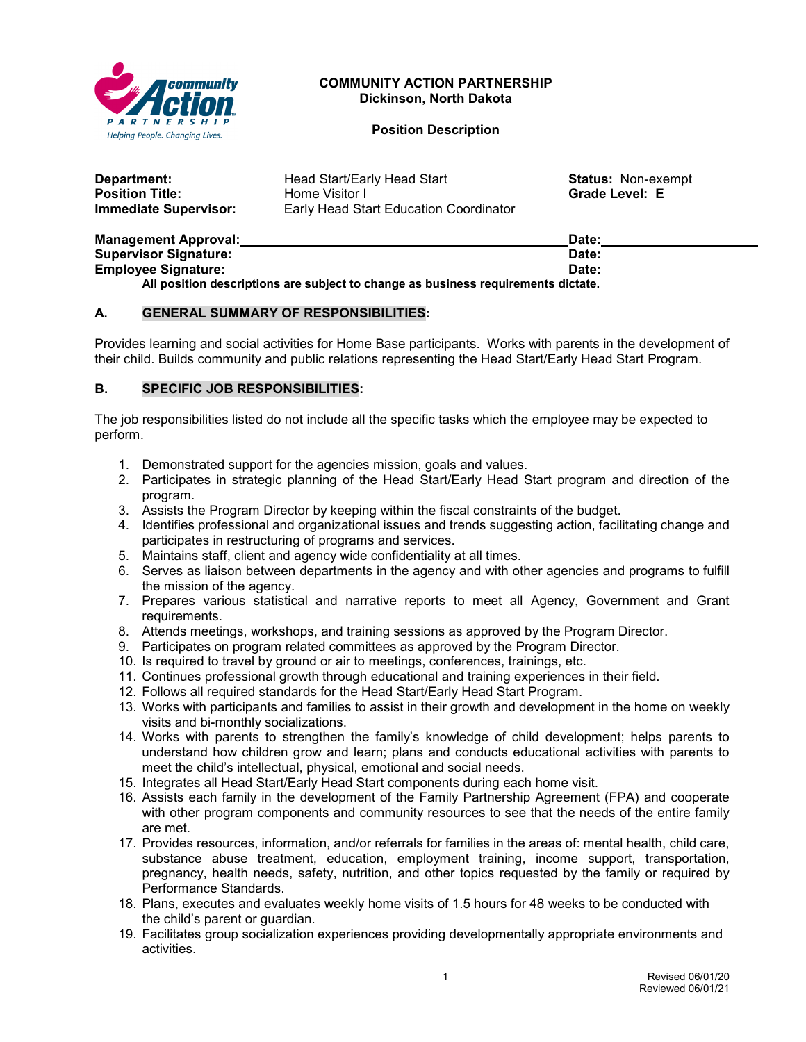

## **COMMUNITY ACTION PARTNERSHIP Dickinson, North Dakota**

#### **Position Description**

| Department:                  | Head Start/Early Head Start                   | <b>Status: Non-exempt</b> |
|------------------------------|-----------------------------------------------|---------------------------|
| <b>Position Title:</b>       | Home Visitor I                                | <b>Grade Level: E</b>     |
| <b>Immediate Supervisor:</b> | <b>Early Head Start Education Coordinator</b> |                           |

| <b>Management Approval:</b>  | Date: |
|------------------------------|-------|
| <b>Supervisor Signature:</b> | Date: |
| <b>Employee Signature:</b>   | Date: |
|                              |       |

**All position descriptions are subject to change as business requirements dictate.**

## **A. GENERAL SUMMARY OF RESPONSIBILITIES:**

Provides learning and social activities for Home Base participants. Works with parents in the development of their child. Builds community and public relations representing the Head Start/Early Head Start Program.

## **B. SPECIFIC JOB RESPONSIBILITIES:**

The job responsibilities listed do not include all the specific tasks which the employee may be expected to perform.

- 1. Demonstrated support for the agencies mission, goals and values.
- 2. Participates in strategic planning of the Head Start/Early Head Start program and direction of the program.
- 3. Assists the Program Director by keeping within the fiscal constraints of the budget.
- 4. Identifies professional and organizational issues and trends suggesting action, facilitating change and participates in restructuring of programs and services.
- 5. Maintains staff, client and agency wide confidentiality at all times.
- 6. Serves as liaison between departments in the agency and with other agencies and programs to fulfill the mission of the agency.
- 7. Prepares various statistical and narrative reports to meet all Agency, Government and Grant requirements.
- 8. Attends meetings, workshops, and training sessions as approved by the Program Director.
- 9. Participates on program related committees as approved by the Program Director.
- 10. Is required to travel by ground or air to meetings, conferences, trainings, etc.
- 11. Continues professional growth through educational and training experiences in their field.
- 12. Follows all required standards for the Head Start/Early Head Start Program.
- 13. Works with participants and families to assist in their growth and development in the home on weekly visits and bi-monthly socializations.
- 14. Works with parents to strengthen the family's knowledge of child development; helps parents to understand how children grow and learn; plans and conducts educational activities with parents to meet the child's intellectual, physical, emotional and social needs.
- 15. Integrates all Head Start/Early Head Start components during each home visit.
- 16. Assists each family in the development of the Family Partnership Agreement (FPA) and cooperate with other program components and community resources to see that the needs of the entire family are met.
- 17. Provides resources, information, and/or referrals for families in the areas of: mental health, child care, substance abuse treatment, education, employment training, income support, transportation, pregnancy, health needs, safety, nutrition, and other topics requested by the family or required by Performance Standards.
- 18. Plans, executes and evaluates weekly home visits of 1.5 hours for 48 weeks to be conducted with the child's parent or guardian.
- 19. Facilitates group socialization experiences providing developmentally appropriate environments and activities.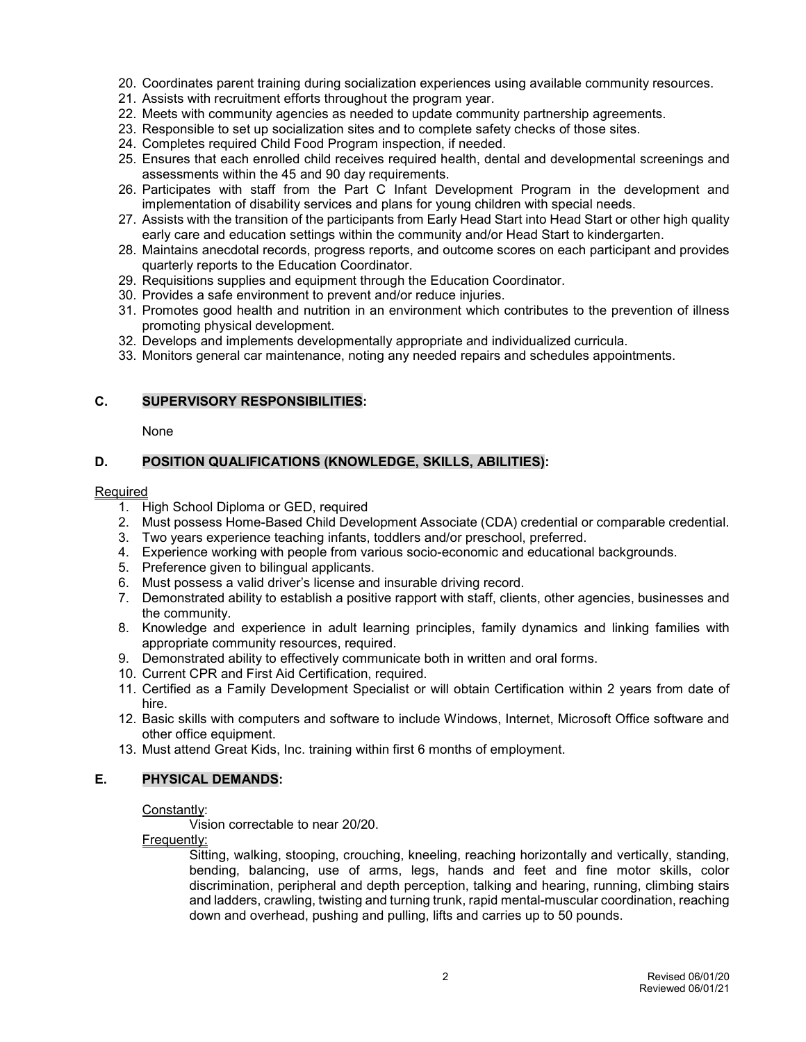- 20. Coordinates parent training during socialization experiences using available community resources.
- 21. Assists with recruitment efforts throughout the program year.
- 22. Meets with community agencies as needed to update community partnership agreements.
- 23. Responsible to set up socialization sites and to complete safety checks of those sites.
- 24. Completes required Child Food Program inspection, if needed.
- 25. Ensures that each enrolled child receives required health, dental and developmental screenings and assessments within the 45 and 90 day requirements.
- 26. Participates with staff from the Part C Infant Development Program in the development and implementation of disability services and plans for young children with special needs.
- 27. Assists with the transition of the participants from Early Head Start into Head Start or other high quality early care and education settings within the community and/or Head Start to kindergarten.
- 28. Maintains anecdotal records, progress reports, and outcome scores on each participant and provides quarterly reports to the Education Coordinator.
- 29. Requisitions supplies and equipment through the Education Coordinator.
- 30. Provides a safe environment to prevent and/or reduce injuries.
- 31. Promotes good health and nutrition in an environment which contributes to the prevention of illness promoting physical development.
- 32. Develops and implements developmentally appropriate and individualized curricula.
- 33. Monitors general car maintenance, noting any needed repairs and schedules appointments.

## **C. SUPERVISORY RESPONSIBILITIES:**

None

## **D. POSITION QUALIFICATIONS (KNOWLEDGE, SKILLS, ABILITIES):**

## **Required**

- 1. High School Diploma or GED, required
- 2. Must possess Home-Based Child Development Associate (CDA) credential or comparable credential.
- 3. Two years experience teaching infants, toddlers and/or preschool, preferred.
- 4. Experience working with people from various socio-economic and educational backgrounds.
- 5. Preference given to bilingual applicants.
- 6. Must possess a valid driver's license and insurable driving record.
- 7. Demonstrated ability to establish a positive rapport with staff, clients, other agencies, businesses and the community.
- 8. Knowledge and experience in adult learning principles, family dynamics and linking families with appropriate community resources, required.
- 9. Demonstrated ability to effectively communicate both in written and oral forms.
- 10. Current CPR and First Aid Certification, required.
- 11. Certified as a Family Development Specialist or will obtain Certification within 2 years from date of hire.
- 12. Basic skills with computers and software to include Windows, Internet, Microsoft Office software and other office equipment.
- 13. Must attend Great Kids, Inc. training within first 6 months of employment.

#### **E. PHYSICAL DEMANDS:**

#### Constantly:

Vision correctable to near 20/20.

Frequently:

Sitting, walking, stooping, crouching, kneeling, reaching horizontally and vertically, standing, bending, balancing, use of arms, legs, hands and feet and fine motor skills, color discrimination, peripheral and depth perception, talking and hearing, running, climbing stairs and ladders, crawling, twisting and turning trunk, rapid mental-muscular coordination, reaching down and overhead, pushing and pulling, lifts and carries up to 50 pounds.